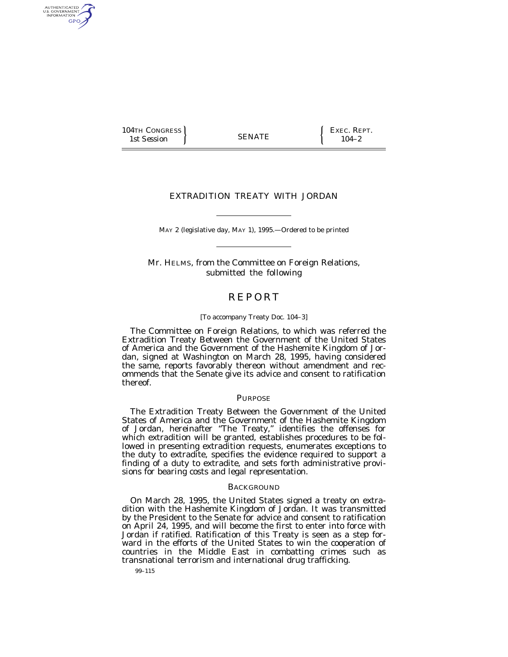104TH CONGRESS SENATE  $\left\{\begin{array}{c} \text{EXEC. Repr.} \\ \text{104.3} \end{array}\right.$ 1st Session 1 SENATE 104–2

AUTHENTICATED U.S. GOVERNMENT GPO

# EXTRADITION TREATY WITH JORDAN

MAY 2 (legislative day, MAY 1), 1995.—Ordered to be printed

Mr. HELMS, from the Committee on Foreign Relations, submitted the following

## **REPORT**

#### [To accompany Treaty Doc. 104–3]

The Committee on Foreign Relations, to which was referred the Extradition Treaty Between the Government of the United States of America and the Government of the Hashemite Kingdom of Jordan, signed at Washington on March 28, 1995, having considered the same, reports favorably thereon without amendment and recommends that the Senate give its advice and consent to ratification thereof.

## PURPOSE

The Extradition Treaty Between the Government of the United States of America and the Government of the Hashemite Kingdom of Jordan, hereinafter ''The Treaty,'' identifies the offenses for which extradition will be granted, establishes procedures to be followed in presenting extradition requests, enumerates exceptions to the duty to extradite, specifies the evidence required to support a finding of a duty to extradite, and sets forth administrative provisions for bearing costs and legal representation.

## **BACKGROUND**

On March 28, 1995, the United States signed a treaty on extradition with the Hashemite Kingdom of Jordan. It was transmitted by the President to the Senate for advice and consent to ratification on April 24, 1995, and will become the first to enter into force with Jordan if ratified. Ratification of this Treaty is seen as a step forward in the efforts of the United States to win the cooperation of countries in the Middle East in combatting crimes such as transnational terrorism and international drug trafficking.

99–115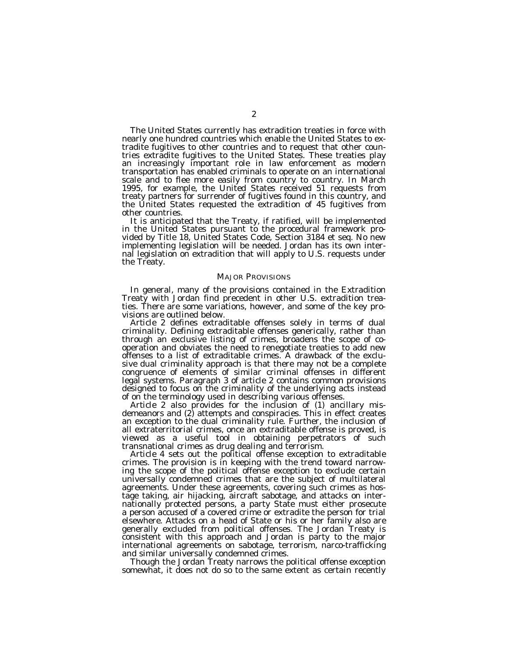The United States currently has extradition treaties in force with nearly one hundred countries which enable the United States to extradite fugitives to other countries and to request that other countries extradite fugitives to the United States. These treaties play an increasingly important role in law enforcement as modern transportation has enabled criminals to operate on an international scale and to flee more easily from country to country. In March 1995, for example, the United States received 51 requests from treaty partners for surrender of fugitives found in this country, and the United States requested the extradition of 45 fugitives from other countries.

It is anticipated that the Treaty, if ratified, will be implemented in the United States pursuant to the procedural framework provided by Title 18, United States Code, Section 3184 et seq. No new implementing legislation will be needed. Jordan has its own internal legislation on extradition that will apply to U.S. requests under the Treaty.

## MAJOR PROVISIONS

In general, many of the provisions contained in the Extradition Treaty with Jordan find precedent in other U.S. extradition treaties. There are some variations, however, and some of the key pro-

visions are outlined below.<br>Article 2 defines extraditable offenses solely in terms of dual criminality. Defining extraditable offenses generically, rather than through an exclusive listing of crimes, broadens the scope of cooperation and obviates the need to renegotiate treaties to add new offenses to a list of extraditable crimes. A drawback of the exclusive dual criminality approach is that there may not be a complete congruence of elements of similar criminal offenses in different legal systems. Paragraph 3 of article 2 contains common provisions designed to focus on the criminality of the underlying acts instead<br>of on the terminology used in describing various offenses.

Article 2 also provides for the inclusion of (1) ancillary mis-<br>demeanors and (2) attempts and conspiracies. This in effect creates an exception to the dual criminality rule. Further, the inclusion of all extraterritorial crimes, once an extraditable offense is proved, is viewed as a useful tool in obtaining perpetrators of such transnational crimes as drug dealing and terrorism. *Article 4* sets out the political offense exception to extraditable

crimes. The provision is in keeping with the trend toward narrowing the scope of the political offense exception to exclude certain universally condemned crimes that are the subject of multilateral agreements. Under these agreements, covering such crimes as hostage taking, air hijacking, aircraft sabotage, and attacks on internationally protected persons, a party State must either prosecute a person accused of a covered crime or extradite the person for trial elsewhere. Attacks on a head of State or his or her family also are generally excluded from political offenses. The Jordan Treaty is consistent with this approach and Jordan is party to the major international agreements on sabotage, terrorism, narco-trafficking and similar universally condemned crimes.

Though the Jordan Treaty narrows the political offense exception somewhat, it does not do so to the same extent as certain recently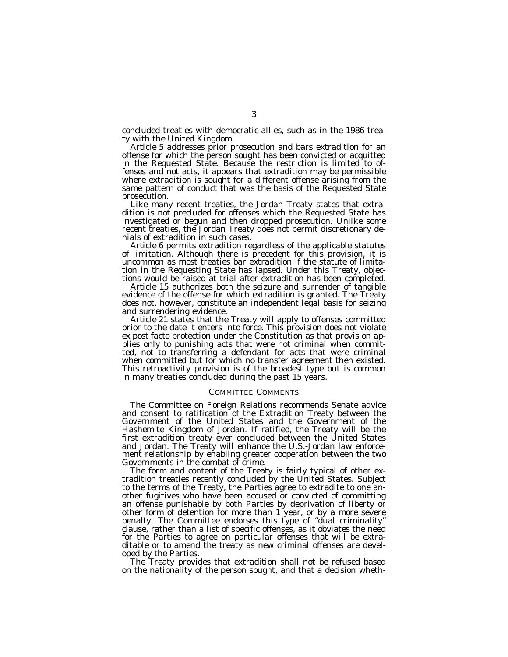concluded treaties with democratic allies, such as in the 1986 trea-

Article 5 addresses prior prosecution and bars extradition for an offense for which the person sought has been convicted or acquitted in the Requested State. Because the restriction is limited to offenses and not acts, it appears that extradition may be permissible where extradition is sought for a different offense arising from the same pattern of conduct that was the basis of the Requested State

prosecution.<br>Like many recent treaties, the Jordan Treaty states that extradition is not precluded for offenses which the Requested State has investigated or begun and then dropped prosecution. Unlike some recent treaties, the Jordan Treaty does not permit discretionary de-

nials of extradition in such cases.<br>Article  $\theta$  permits extradition regardless of the applicable statutes *Article 6* permits extradition regardless of the applicable statutes of limitation. Although there is precedent for this provision, it is uncommon as most treaties bar extradition if the statute of limitation in the Requesting State has lapsed. Under this Treaty, objections would be raised at trial after extradition has been completed.<br>Article 15 authorizes both the seizure and surrender of tangible

evidence of the offense for which extradition is granted. The Treaty does not, however, constitute an independent legal basis for seizing and surrendering evidence.

Article 21 states that the Treaty will apply to offenses committed prior to the date it enters into force. This provision does not violate *ex post facto* protection under the Constitution as that provision applies only to punishing acts that were not criminal when committed, not to transferring a defendant for acts that were criminal when committed but for which no transfer agreement then existed. This retroactivity provision is of the broadest type but is common in many treaties concluded during the past 15 years.

## COMMITTEE COMMENTS

The Committee on Foreign Relations recommends Senate advice and consent to ratification of the Extradition Treaty between the Government of the United States and the Government of the Hashemite Kingdom of Jordan. If ratified, the Treaty will be the first extradition treaty ever concluded between the United States and Jordan. The Treaty will enhance the U.S.-Jordan law enforcement relationship by enabling greater cooperation between the two Governments in the combat of crime.

The form and content of the Treaty is fairly typical of other extradition treaties recently concluded by the United States. Subject to the terms of the Treaty, the Parties agree to extradite to one another fugitives who have been accused or convicted of committing an offense punishable by both Parties by deprivation of liberty or other form of detention for more than 1 year, or by a more severe penalty. The Committee endorses this type of ''dual criminality'' clause, rather than a list of specific offenses, as it obviates the need for the Parties to agree on particular offenses that will be extraditable or to amend the treaty as new criminal offenses are developed by the Parties.

The Treaty provides that extradition shall not be refused based on the nationality of the person sought, and that a decision wheth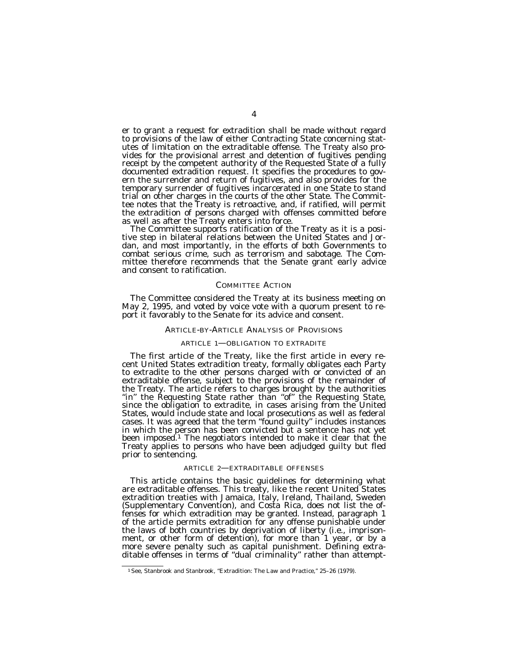er to grant a request for extradition shall be made without regard to provisions of the law of either Contracting State concerning statutes of limitation on the extraditable offense. The Treaty also provides for the provisional arrest and detention of fugitives pending receipt by the competent authority of the Requested State of a fully documented extradition request. It specifies the procedures to govern the surrender and return of fugitives, and also provides for the temporary surrender of fugitives incarcerated in one State to stand trial on other charges in the courts of the other State. The Committee notes that the Treaty is retroactive, and, if ratified, will permit the extradition of persons charged with offenses committed before as well as after the Treaty enters into force.

The Committee supports ratification of the Treaty as it is a posi-<br>tive step in bilateral relations between the United States and Jordan, and most importantly, in the efforts of both Governments to combat serious crime, such as terrorism and sabotage. The Committee therefore recommends that the Senate grant early advice and consent to ratification.

#### COMMITTEE ACTION

The Committee considered the Treaty at its business meeting on May 2, 1995, and voted by voice vote with a quorum present to report it favorably to the Senate for its advice and consent.

#### ARTICLE-BY-ARTICLE ANALYSIS OF PROVISIONS

#### ARTICLE 1—OBLIGATION TO EXTRADITE

The first article of the Treaty, like the first article in every re- cent United States extradition treaty, formally obligates each Party to extradite to the other persons charged with or convicted of an extraditable offense, subject to the provisions of the remainder of the Treaty. The article refers to charges brought by the authorities "in" the Requesting State rather than "of" the Requesting State, since the obligation to extradite, in cases arising from the United States, would include state and local prosecutions as well as federal cases. It was agreed that the term ''found guilty'' includes instances in which the person has been convicted but a sentence has not yet been imposed.<sup>1</sup> The negotiators intended to make it clear that the Treaty applies to persons who have been adjudged guilty but fled prior to sentencing.

#### ARTICLE 2—EXTRADITABLE OFFENSES

This article contains the basic guidelines for determining what are extraditable offenses. This treaty, like the recent United States extradition treaties with Jamaica, Italy, Ireland, Thailand, Sweden (Supplementary Convention), and Costa Rica, does not list the offenses for which extradition may be granted. Instead, paragraph 1 of the article permits extradition for any offense punishable under the laws of both countries by deprivation of liberty (i.e., imprisonment, or other form of detention), for more than 1 year, or by a more severe penalty such as capital punishment. Defining extraditable offenses in terms of ''dual criminality'' rather than attempt-

<sup>&</sup>lt;sup>1</sup> See, Stanbrook and Stanbrook, "Extradition: The Law and Practice," 25-26 (1979).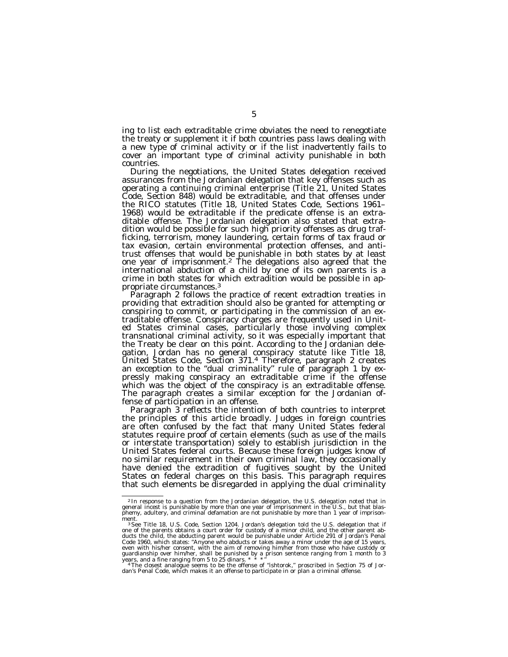ing to list each extraditable crime obviates the need to renegotiate the treaty or supplement it if both countries pass laws dealing with a new type of criminal activity or if the list inadvertently fails to cover an important type of criminal activity punishable in both countries.<br>During the negotiations, the United States delegation received

assurances from the Jordanian delegation that key offenses such as operating a continuing criminal enterprise (Title 21, United States Code, Section 848) would be extraditable, and that offenses under the RICO statutes (Title 18, United States Code, Sections 1961– 1968) would be extraditable if the predicate offense is an extraditable offense. The Jordanian delegation also stated that extradition would be possible for such high priority offenses as drug trafficking, terrorism, money laundering, certain forms of tax fraud or tax evasion, certain environmental protection offenses, and antitrust offenses that would be punishable in both states by at least one year of imprisonment.<sup>2</sup> The delegations also agreed that the international abduction of a child by one of its own parents is a crime in both states for which extradition would be possible in appropriate circumstances.3

Paragraph 2 follows the practice of recent extradtion treaties in providing that extradition should also be granted for attempting or conspiring to commit, or participating in the commission of an extraditable offense. Conspiracy charges are frequently used in United States criminal cases, particularly those involving complex transnational criminal activity, so it was especially important that the Treaty be clear on this point. According to the Jordanian delegation, Jordan has no general conspiracy statute like Title 18, United States Code, Section 371.4 Therefore, paragraph 2 creates an exception to the ''dual criminality'' rule of paragraph 1 by expressly making conspiracy an extraditable crime if the offense which was the object of the conspiracy is an extraditable offense. The paragraph creates a similar exception for the Jordanian offense of participation in an offense.<br>Paragraph 3 reflects the intention of both countries to interpret

the principles of this article broadly. Judges in foreign countries are often confused by the fact that many United States federal statutes require proof of certain elements (such as use of the mails or interstate transportation) solely to establish jurisdiction in the United States federal courts. Because these foreign judges know of no similar requirement in their own criminal law, they occasionally have denied the extradition of fugitives sought by the United States on federal charges on this basis. This paragraph requires that such elements be disregarded in applying the dual criminality

<sup>2</sup> In response to a question from the Jordanian delegation, the U.S. delegation noted that in general incest is punishable by more than one year of imprisonment in the U.S., but that blas-phemy, adultery, and criminal defamation are not punishable by more than 1 year of imprison-

ment."<br>"See Title 18, U.S. Code, Section 1204. Jordan's delegation told the U.S. delegation that if<br>one of the parents obtains a court order for custody of a minor child, and the other parent ab-<br>ducts the child, the abduc Code 1960, which states: "Anyone who abducts or takes away a minor under the age of 15 years,<br>even with his/her consent, with the aim of removing him/her from those who have custody or<br>guardianship over him/her, shall be

years, and a tine ranging noin 5 to zo untain.<br>The closest analogue seems to be the offense of "ishtorok," proscribed in Section 75 of Jordan's Penal Code, which makes it an offense to participate in or plan a criminal off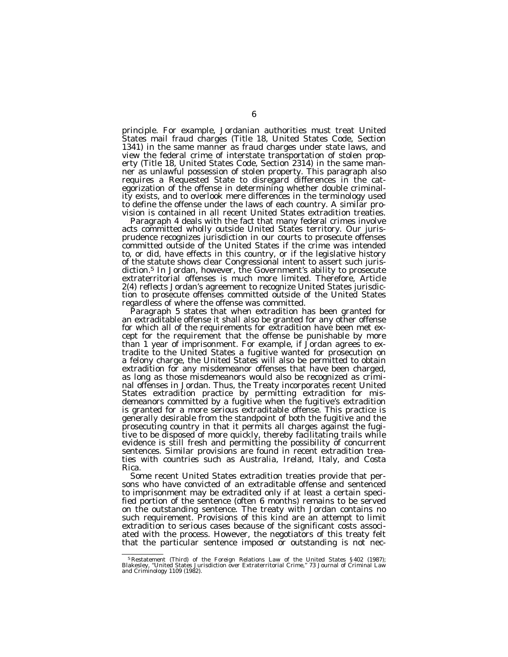principle. For example, Jordanian authorities must treat United States mail fraud charges (Title 18, United States Code, Section 1341) in the same manner as fraud charges under state laws, and view the federal crime of interstate transportation of stolen property (Title 18, United States Code, Section 2314) in the same manner as unlawful possession of stolen property. This paragraph also requires a Requested State to disregard differences in the categorization of the offense in determining whether double criminality exists, and to overlook mere differences in the terminology used to define the offense under the laws of each country. A similar provision is contained in all recent United States extradition treaties.

Paragraph 4 deals with the fact that many federal crimes involve acts committed wholly outside United States territory. Our jurisprudence recognizes jurisdiction in our courts to prosecute offenses committed outside of the United States if the crime was intended to, or did, have effects in this country, or if the legislative history of the statute shows clear Congressional intent to assert such jurisdiction.5 In Jordan, however, the Government's ability to prosecute extraterritorial offenses is much more limited. Therefore, Article 2(4) reflects Jordan's agreement to recognize United States jurisdiction to prosecute offenses committed outside of the United States

Paragraph 5 states that when extradition has been granted for an extraditable offense it shall also be granted for any other offense for which all of the requirements for extradition have been met except for the requirement that the offense be punishable by more than 1 year of imprisonment. For example, if Jordan agrees to extradite to the United States a fugitive wanted for prosecution on a felony charge, the United States will also be permitted to obtain extradition for any misdemeanor offenses that have been charged, as long as those misdemeanors would also be recognized as criminal offenses in Jordan. Thus, the Treaty incorporates recent United States extradition practice by permitting extradition for misdemeanors committed by a fugitive when the fugitive's extradition is granted for a more serious extraditable offense. This practice is generally desirable from the standpoint of both the fugitive and the prosecuting country in that it permits all charges against the fugitive to be disposed of more quickly, thereby facilitating trails while evidence is still fresh and permitting the possibility of concurrent sentences. Similar provisions are found in recent extradition treaties with countries such as Australia, Ireland, Italy, and Costa Rica.

Some recent United States extradition treaties provide that persons who have convicted of an extraditable offense and sentenced to imprisonment may be extradited only if at least a certain specified portion of the sentence (often 6 months) remains to be served on the outstanding sentence. The treaty with Jordan contains no such requirement. Provisions of this kind are an attempt to limit extradition to serious cases because of the significant costs associated with the process. However, the negotiators of this treaty felt that the particular sentence imposed or outstanding is not nec-

<sup>5</sup> Restatement (Third) of the Foreign Relations Law of the United States § 402 (1987); Blakesley, ''United States Jurisdiction over Extraterritorial Crime,'' 73 Journal of Criminal Law and Criminology 1109 (1982).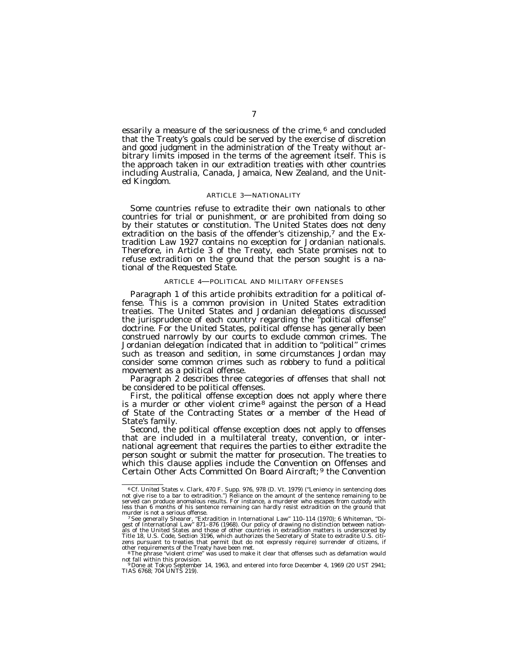essarily a measure of the seriousness of the crime, 6 and concluded that the Treaty's goals could be served by the exercise of discretion and good judgment in the administration of the Treaty without arbitrary limits imposed in the terms of the agreement itself. This is the approach taken in our extradition treaties with other countries including Australia, Canada, Jamaica, New Zealand, and the United Kingdom.

## ARTICLE 3—NATIONALITY

Some countries refuse to extradite their own nationals to other countries for trial or punishment, or are prohibited from doing so by their statutes or constitution. The United States does not deny extradition on the basis of the offender's citizenship,<sup>7</sup> and the Extradition Law 1927 contains no exception for Jordanian nationals. Therefore, in Article 3 of the Treaty, each State promises not to refuse extradition on the ground that the person sought is a national of the Requested State.

#### ARTICLE 4—POLITICAL AND MILITARY OFFENSES

Paragraph 1 of this article prohibits extradition for a political offense. This is a common provision in United States extradition treaties. The United States and Jordanian delegations discussed the jurisprudence of each country regarding the ''political offense'' doctrine. For the United States, political offense has generally been construed narrowly by our courts to exclude common crimes. The Jordanian delegation indicated that in addition to ''political'' crimes such as treason and sedition, in some circumstances Jordan may consider some common crimes such as robbery to fund a political movement as a political offense.

Paragraph 2 describes three categories of offenses that shall not be considered to be political offenses.

First, the political offense exception does not apply where there is a murder or other violent crime<sup>8</sup> against the person of a Head of State of the Contracting States or a member of the Head of State's family.

Second, the political offense exception does not apply to offenses that are included in a multilateral treaty, convention, or international agreement that requires the parties to either extradite the person sought or submit the matter for prosecution. The treaties to which this clause applies include the Convention on Offenses and Certain Other Acts Committed On Board Aircraft; 9 the Convention

 $6$  Cf. United States v. Clark, 470 F. Supp. 976, 978 (D. Vt. 1979) ("Leniency in sentencing does not give rise to a bar to extradition.") Reliance on the amount of the sentence remaining to be served can produce anomalou less than 6 months of his sentence remaining can hardly resist extradition on the ground that murder is not a serious offense.

murder is not a serious offense.<br><sup>7</sup> See generally Shearer, "Extradition in International Law" 110–114 (1970); 6 Whiteman, "Digest of International Law" 120–114 (1970); 6 Whiteman, "Digest of Internationals of the United S zens pursuant to treaties that permit (but do not expressly require) surrender of citizens, if

<sup>&</sup>lt;sup>8</sup>The phrase "violent crime" was used to make it clear that offenses such as defamation would

not fall within this provision.<br> <sup>9</sup> Done at Tokyo September 14, 1963, and entered into force December 4, 1969 (20 UST 2941;<br>TIAS 6768; 704 UNTS 219).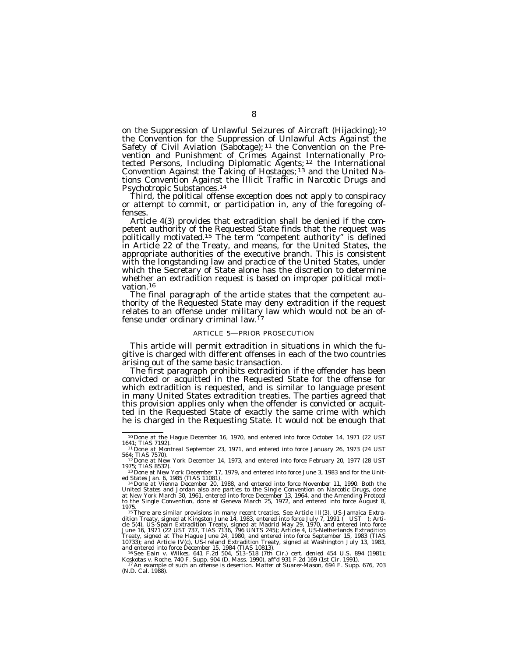on the Suppression of Unlawful Seizures of Aircraft (Hijacking); 10 the Convention for the Suppression of Unlawful Acts Against the Safety of Civil Aviation (Sabotage); <sup>11</sup> the Convention on the Prevention and Punishment of Crimes Against Internationally Protected Persons, Including Diplomatic Agents; 12 the International Convention Against the Taking of Hostages; <sup>13</sup> and the United Nations Convention Against the Illicit Traffic in Narcotic Drugs and Psychotropic Substances.14

Third, the political offense exception does not apply to conspiracy or attempt to commit, or participation in, any of the foregoing offenses.

Article 4(3) provides that extradition shall be denied if the competent authority of the Requested State finds that the request was<br>politically motivated.<sup>15</sup> The term "competent authority" is defined in Article 22 of the Treaty, and means, for the United States, the appropriate authorities of the executive branch. This is consistent with the longstanding law and practice of the United States, under which the Secretary of State alone has the discretion to determine whether an extradition request is based on improper political motivation.<sup>16</sup><br>The final paragraph of the article states that the competent au-

thority of the Requested State may deny extradition if the request relates to an offense under military law which would not be an offense under ordinary criminal law.<sup>17</sup>

#### ARTICLE 5—PRIOR PROSECUTION

This article will permit extradition in situations in which the fugitive is charged with different offenses in each of the two countries arising out of the same basic transaction.

The first paragraph prohibits extradition if the offender has been convicted or acquitted in the Requested State for the offense for which extradition is requested, and is similar to language present in many United States extradition treaties. The parties agreed that this provision applies only when the offender is convicted or acquitted in the Requested State of exactly the same crime with which he is charged in the Requesting State. It would not be enough that

<sup>10</sup>Done at the Hague December 16, 1970, and entered into force October 14, 1971 (22 UST 1641; TIAS 7192). <sup>11</sup> Done at Montreal September 23, 1971, and entered into force January 26, 1973 (24 UST)

<sup>564;</sup> TIAS 7570). 12Done at New York December 14, 1973, and entered into force February 20, 1977 (28 UST

<sup>1975;</sup> TIAS 8532). 13Done at New York December 17, 1979, and entered into force June 3, 1983 and for the Unit-

 $^{13}$  Done at New York December 17, 1979, and entered into force June 3, 1983 and for the United States Jan. 6, 1985 (TIAS 11081).<br> $^{14}$  Done at Vienna December 20, 1988, and entered into force November 11, 1990. Both t

United States and Jordan also are parties to the Single Convention on Narcotic Drugs, done<br>at New York March 30, 1961, entered into force December 13, 1964, and the Amending Protocol<br>to the Single Convention, done at Genev

<sup>1975.&</sup>lt;br>
15 There are similar provisions in many recent treaties. See Article III(3), US-Jamaica Extra-<br>
<sup>15</sup> There are similar provisions in many recent treaties. See Article III(3), US-Jamaica Extra-<br>
dition Treaty, signe

*Koskotas* v. *Roche,* 740 F. Supp. 904 (D. Mass. 1990), *aff* d<sup>931</sup> F.2d 169 (1st Cir. 1991).<br><sup>17</sup> An example of such an offense is desertion. *Matter of Suarez-Mason,* 694 F. Supp. 676, 703<br>(N.D. Cal. 1988).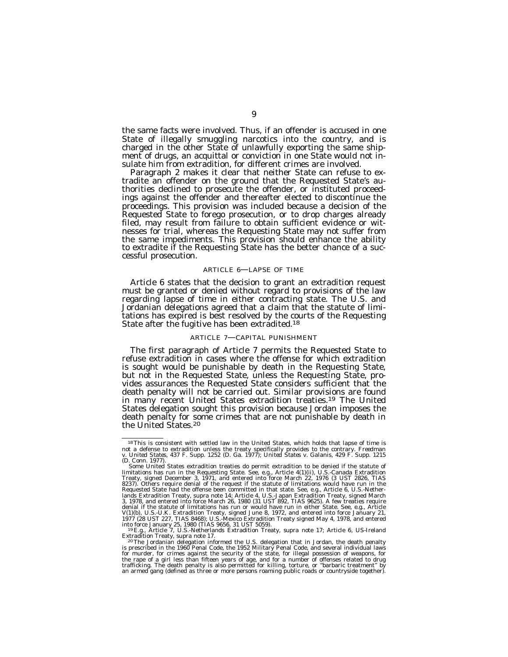the same facts were involved. Thus, if an offender is accused in one State of illegally smuggling narcotics into the country, and is charged in the other State of unlawfully exporting the same shipment of drugs, an acquittal or conviction in one State would not insulate him from extradition, for different crimes are involved.

Paragraph 2 makes it clear that neither State can refuse to extradite an offender on the ground that the Requested State's authorities declined to prosecute the offender, or instituted proceedings against the offender and thereafter elected to discontinue the proceedings. This provision was included because a decision of the Requested State to forego prosecution, or to drop charges already filed, may result from failure to obtain sufficient evidence or witnesses for trial, whereas the Requesting State may not suffer from the same impediments. This provision should enhance the ability to extradite if the Requesting State has the better chance of a successful prosecution.

#### ARTICLE 6—LAPSE OF TIME

Article 6 states that the decision to grant an extradition request must be granted or denied without regard to provisions of the law regarding lapse of time in either contracting state. The U.S. and Jordanian delegations agreed that a claim that the statute of limitations has expired is best resolved by the courts of the Requesting State after the fugitive has been extradited.18

#### ARTICLE 7—CAPITAL PUNISHMENT

The first paragraph of Article 7 permits the Requested State to refuse extradition in cases where the offense for which extradition is sought would be punishable by death in the Requesting State, but not in the Requested State, unless the Requesting State, provides assurances the Requested State considers sufficient that the death penalty will not be carried out. Similar provisions are found in many recent United States extradition treaties.19 The United States delegation sought this provision because Jordan imposes the death penalty for some crimes that are not punishable by death in the United States.20

<sup>&</sup>lt;sup>18</sup>This is consistent with settled law in the United States, which holds that lapse of time is not a defense to extradition unless the treaty specifically provides to the contrary. *Freedman* v. *United States,* 437 F. Supp. 1252 (D. Ga. 1977); *United States* v. *Galanis,* 429 F. Supp. 1215

<sup>(</sup>D. Conn. 1977). Some United States extradition treaties do permit extradition to be denied if the statute of limitations has run in the Requesting State. See, e.g., Article 4(1)(ii), U.S.-Canada Extradition<br>Treaty, signed December 3, 1971, and entered into force March 22, 1976 (3 UST 2826, TIAS<br>8237). Others require denial of the Requested State had the offense been committed in that state. See, e.g., Article 6, U.S.-Nether-<br>lands Extradition Treaty, supra note 14; Article 4, U.S.-Japan Extradition Treaty, signed March<br>3, 1978, and entered into for denial if the statute of limitations has run or would have run in either State. See, e.g., Article<br>V(1)(b), U.S.-U.K. Extradition Treaty, signed June 8, 1972, and entered into force January 21,<br>1977 (28 UST 227, TIAS 8468)

into force January 25, 1980 (TIAS 9656, 31 UST 5059). <sup>19</sup> E.g., Article 7, U.S.-Netherlands Extradition Treaty, *supra* note 17; Article 6, US-Ireland

Extradition Treaty, *supra* note 17.<br><sup>20</sup>The Jordanian delegation informed the U.S. delegation that in Jordan, the death penalty<br>is prescribed in the 1960 Penal Code, the 1952 Military Penal Code, and several individual la the rape of a girl less than fifteen years of age, and for a number of offenses related to drug<br>trafficking. The death penalty is also permitted for killing, torture, or "barbaric treatment" by<br>an armed gang (defined as th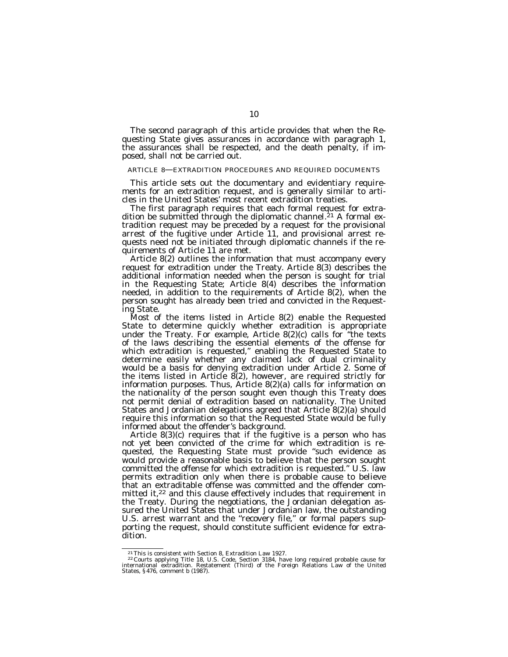The second paragraph of this article provides that when the Requesting State gives assurances in accordance with paragraph 1, the assurances shall be respected, and the death penalty, if imposed, shall not be carried out.

#### ARTICLE 8—EXTRADITION PROCEDURES AND REQUIRED DOCUMENTS

This article sets out the documentary and evidentiary requirements for an extradition request, and is generally similar to articles in the United States' most recent extradition treaties.

The first paragraph requires that each formal request for extradition be submitted through the diplomatic channel.<sup>21</sup> A formal extradition request may be preceded by a request for the provisional arrest of the fugitive under Article 11, and provisional arrest requests need not be initiated through diplomatic channels if the requirements of Article 11 are met.

Article 8(2) outlines the information that must accompany every request for extradition under the Treaty. Article 8(3) describes the additional information needed when the person is sought for trial in the Requesting State; Article 8(4) describes the information needed, in addition to the requirements of Article 8(2), when the person sought has already been tried and convicted in the Requesting State.

Most of the items listed in Article 8(2) enable the Requested State to determine quickly whether extradition is appropriate under the Treaty. For example, Article 8(2)(c) calls for ''the texts of the laws describing the essential elements of the offense for which extradition is requested,'' enabling the Requested State to determine easily whether any claimed lack of dual criminality would be a basis for denying extradition under Article 2. Some of the items listed in Article  $\delta(2)$ , however, are required strictly for information purposes. Thus, Article 8(2)(a) calls for information on the nationality of the person sought even though this Treaty does not permit denial of extradition based on nationality. The United States and Jordanian delegations agreed that Article 8(2)(a) should require this information so that the Requested State would be fully informed about the offender's background.

Article 8(3)(c) requires that if the fugitive is a person who has not yet been convicted of the crime for which extradition is requested, the Requesting State must provide ''such evidence as would provide a reasonable basis to believe that the person sought committed the offense for which extradition is requested.'' U.S. law permits extradition only when there is probable cause to believe that an extraditable offense was committed and the offender committed it,<sup>22</sup> and this clause effectively includes that requirement in the Treaty. During the negotiations, the Jordanian delegation assured the United States that under Jordanian law, the outstanding U.S. arrest warrant and the "recovery file," or formal papers supporting the request, should constitute sufficient evidence for extradition.

<sup>&</sup>lt;sup>21</sup> This is consistent with Section 8, Extradition Law 1927.<br><sup>22</sup> Courts applying Title 18, U.S. Code, Section 3184, have long required probable cause for<br>international extradition. Restatement (Third) of the Foreign Rel States, § 476, comment b (1987).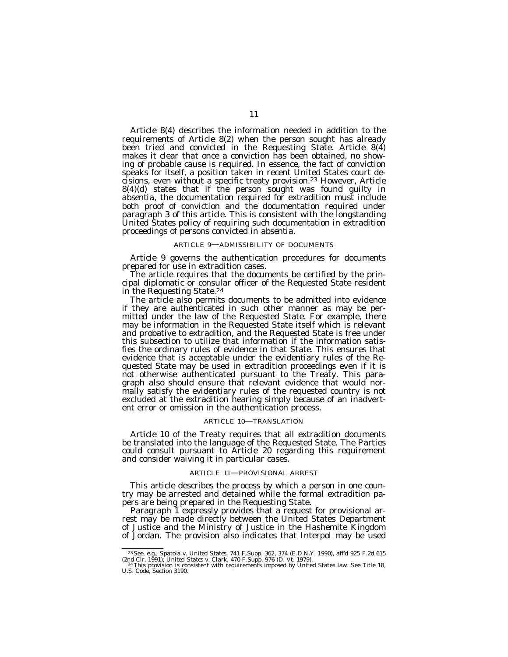Article 8(4) describes the information needed in addition to the requirements of Article 8(2) when the person sought has already been tried and convicted in the Requesting State. Article 8(4) makes it clear that once a conviction has been obtained, no showing of probable cause is required. In essence, the fact of conviction speaks for itself, a position taken in recent United States court decisions, even without a specific treaty provision.23 However, Article 8(4)(d) states that if the person sought was found guilty *in absentia,* the documentation required for extradition must include both proof of conviction and the documentation required under paragraph 3 of this article. This is consistent with the longstanding United States policy of requiring such documentation in extradition proceedings of persons convicted *in absentia.*

## ARTICLE 9—ADMISSIBILITY OF DOCUMENTS

Article 9 governs the authentication procedures for documents prepared for use in extradition cases.

The article requires that the documents be certified by the principal diplomatic or consular officer of the Requested State resident in the Requesting State.24

The article also permits documents to be admitted into evidence if they are authenticated in such other manner as may be permitted under the law of the Requested State. For example, there may be information in the Requested State itself which is relevant and probative to extradition, and the Requested State is free under this subsection to utilize that information if the information satisfies the ordinary rules of evidence in that State. This ensures that evidence that is acceptable under the evidentiary rules of the Requested State may be used in extradition proceedings even if it is not otherwise authenticated pursuant to the Treaty. This paragraph also should ensure that relevant evidence that would normally satisfy the evidentiary rules of the requested country is not excluded at the extradition hearing simply because of an inadvertent error or omission in the authentication process.

#### ARTICLE 10—TRANSLATION

Article 10 of the Treaty requires that all extradition documents be translated into the language of the Requested State. The Parties could consult pursuant to Article 20 regarding this requirement and consider waiving it in particular cases.

#### ARTICLE 11—PROVISIONAL ARREST

This article describes the process by which a person in one country may be arrested and detained while the formal extradition papers are being prepared in the Requesting State.

Paragraph 1 expressly provides that a request for provisional arrest may be made directly between the United States Department of Justice and the Ministry of Justice in the Hashemite Kingdom of Jordan. The provision also indicates that Interpol may be used

<sup>&</sup>lt;sup>23</sup> See, e.g., *Spatola v. United States*, 741 F.Supp. 362, 374 (E.D.N.Y. 1990), *aff d* 925 F.2d 615 (2nd Cir. 1991); *United States v. Clark*, 470 F.Supp. 976 (D. Vt. 1979).<br><sup>24</sup>This provision is consistent with requir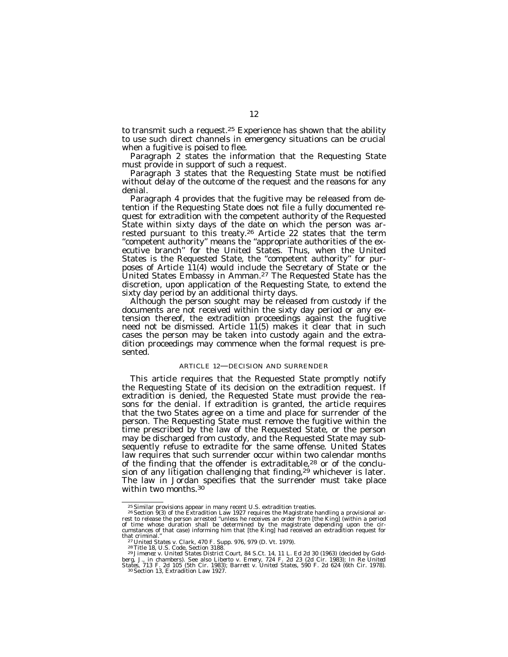to transmit such a request.25 Experience has shown that the ability to use such direct channels in emergency situations can be crucial when a fugitive is poised to flee.

Paragraph 2 states the information that the Requesting State must provide in support of such a request.

Paragraph 3 states that the Requesting State must be notified without delay of the outcome of the request and the reasons for any denial.

Paragraph 4 provides that the fugitive may be released from detention if the Requesting State does not file a fully documented request for extradition with the competent authority of the Requested State within sixty days of the date on which the person was arrested pursuant to this treaty.<sup>26</sup> Article 22 states that the term ''competent authority'' means the ''appropriate authorities of the executive branch'' for the United States. Thus, when the United States is the Requested State, the ''competent authority'' for purposes of Article 11(4) would include the Secretary of State or the United States Embassy in Amman.27 The Requested State has the discretion, upon application of the Requesting State, to extend the sixty day period by an additional thirty days.

Although the person sought may be released from custody if the documents are not received within the sixty day period or any extension thereof, the extradition proceedings against the fugitive need not be dismissed. Article  $1\hat{1}(5)$  makes it clear that in such cases the person may be taken into custody again and the extradition proceedings may commence when the formal request is presented.

## ARTICLE 12—DECISION AND SURRENDER

This article requires that the Requested State promptly notify the Requesting State of its decision on the extradition request. If extradition is denied, the Requested State must provide the reasons for the denial. If extradition is granted, the article requires that the two States agree on a time and place for surrender of the person. The Requesting State must remove the fugitive within the time prescribed by the law of the Requested State, or the person may be discharged from custody, and the Requested State may subsequently refuse to extradite for the same offense. United States law requires that such surrender occur within two calendar months of the finding that the offender is extraditable,<sup>28</sup> or of the conclusion of any litigation challenging that finding, $29$  whichever is later. The law in Jordan specifies that the surrender must take place within two months.30

 $^{25}$  Similar provisions appear in many recent U.S. extradition treaties.<br> $^{26}$  Section 9(3) of the Extradition Law 1927 requires the Magistrate handling a provisional arrest to release the person arrested "unless he re of time whose duration shall be determined by the magistrate depending upon the cir-cumstances of that case) informing him that [the King] had received an extradition request for that criminal."<br><sup>27</sup> United States v. Clark, 470 F. Supp. 976, 979 (D. Vt. 1979).<br><sup>28</sup> Title 18, U.S. Code, Section 3188.<br><sup>29</sup> Jimenez v. United States District Court, 84 S.Ct. 14, 11 L. Ed 2d 30 (1963) (decided by Gold-

berg, J., in chambers). See also *Liberto v. Emery, 724* F. 2d 23 (2d Cir. 1983); *In Re United*<br>*States, 71*3 F. 2d 105 (5th Cir. 1983); *Barrett v. United States,* 590 F. 2d 624 (6th Cir. 1978).<br><sup>30</sup> Section 13, Extradit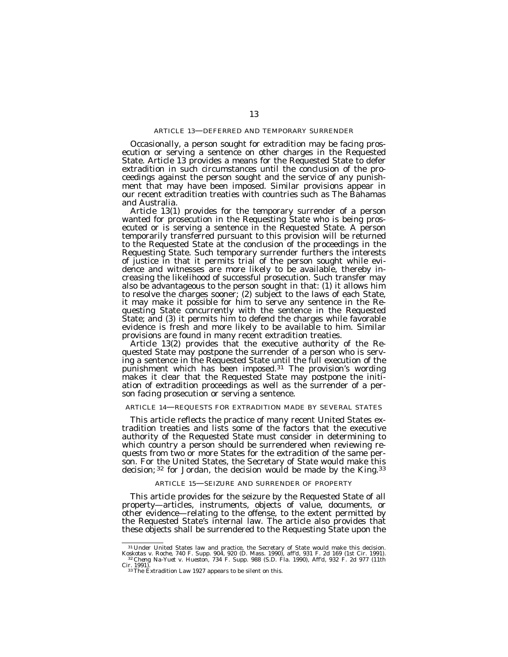## ARTICLE 13—DEFERRED AND TEMPORARY SURRENDER

Occasionally, a person sought for extradition may be facing prosecution or serving a sentence on other charges in the Requested State. Article 13 provides a means for the Requested State to defer extradition in such circumstances until the conclusion of the proceedings against the person sought and the service of any punishment that may have been imposed. Similar provisions appear in our recent extradition treaties with countries such as The Bahamas and Australia.

Article 13(1) provides for the temporary surrender of a person wanted for prosecution in the Requesting State who is being prosecuted or is serving a sentence in the Requested State. A person temporarily transferred pursuant to this provision will be returned to the Requested State at the conclusion of the proceedings in the Requesting State. Such temporary surrender furthers the interests of justice in that it permits trial of the person sought while evidence and witnesses are more likely to be available, thereby increasing the likelihood of successful prosecution. Such transfer may also be advantageous to the person sought in that: (1) it allows him to resolve the charges sooner; (2) subject to the laws of each State, it may make it possible for him to serve any sentence in the Requesting State concurrently with the sentence in the Requested State; and (3) it permits him to defend the charges while favorable evidence is fresh and more likely to be available to him. Similar provisions are found in many recent extradition treaties.

Article 13(2) provides that the executive authority of the Requested State may postpone the surrender of a person who is serving a sentence in the Requested State until the full execution of the punishment which has been imposed.<sup>31</sup> The provision's wording makes it clear that the Requested State may postpone the initiation of extradition proceedings as well as the surrender of a person facing prosecution or serving a sentence.

#### ARTICLE 14—REQUESTS FOR EXTRADITION MADE BY SEVERAL STATES

This article reflects the practice of many recent United States extradition treaties and lists some of the factors that the executive authority of the Requested State must consider in determining to which country a person should be surrendered when reviewing requests from two or more States for the extradition of the same person. For the United States, the Secretary of State would make this decision;<sup>32</sup> for Jordan, the decision would be made by the King.<sup>33</sup>

#### ARTICLE 15—SEIZURE AND SURRENDER OF PROPERTY

This article provides for the seizure by the Requested State of all property—articles, instruments, objects of value, documents, or other evidence—relating to the offense, to the extent permitted by the Requested State's internal law. The article also provides that these objects shall be surrendered to the Requesting State upon the

<sup>&</sup>lt;sup>31</sup> Under United States law and practice, the Secretary of State would make this decision.<br>*Koskotas v. Roche,* 740 F. Supp. 904, 920 (D. Mass. 1990), *aff'd*, 931 F. 2d 169 (1st Cir. 1991).<br><sup>32</sup> Cheng Na-Yuet v. Hueston Cir. 1991).<br>
<sup>Cir. 1991).</sup> <sup>33</sup>The Extradition Law 1927 appears to be silent on this.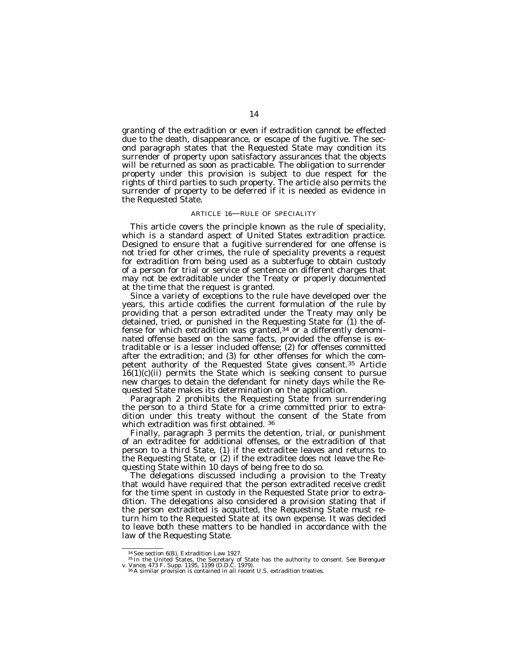granting of the extradition or even if extradition cannot be effected due to the death, disappearance, or escape of the fugitive. The second paragraph states that the Requested State may condition its surrender of property upon satisfactory assurances that the objects will be returned as soon as practicable. The obligation to surrender property under this provision is subject to due respect for the rights of third parties to such property. The article also permits the surrender of property to be deferred if it is needed as evidence in the Requested State.

## ARTICLE 16—RULE OF SPECIALITY

This article covers the principle known as the rule of speciality, which is a standard aspect of United States extradition practice. Designed to ensure that a fugitive surrendered for one offense is not tried for other crimes, the rule of speciality prevents a request for extradition from being used as a subterfuge to obtain custody of a person for trial or service of sentence on different charges that may not be extraditable under the Treaty or properly documented at the time that the request is granted.

Since a variety of exceptions to the rule have developed over the years, this article codifies the current formulation of the rule by providing that a person extradited under the Treaty may only be detained, tried, or punished in the Requesting State for (1) the offense for which extradition was granted,  $34$  or a differently denominated offense based on the same facts, provided the offense is extraditable or is a lesser included offense; (2) for offenses committed after the extradition; and (3) for other offenses for which the competent authority of the Requested State gives consent.35 Article 16(1)(c)(ii) permits the State which is seeking consent to pursue new charges to detain the defendant for ninety days while the Requested State makes its determination on the application.

Paragraph 2 prohibits the Requesting State from surrendering the person to a third State for a crime committed prior to extradition under this treaty without the consent of the State from which extradition was first obtained. 36

Finally, paragraph 3 permits the detention, trial, or punishment of an extraditee for additional offenses, or the extradition of that person to a third State, (1) if the extraditee leaves and returns to the Requesting State, or (2) if the extraditee does not leave the Requesting State within 10 days of being free to do so.

The delegations discussed including a provision to the Treaty that would have required that the person extradited receive credit for the time spent in custody in the Requested State prior to extradition. The delegations also considered a provision stating that if the person extradited is acquitted, the Requesting State must return him to the Requested State at its own expense. It was decided to leave both these matters to be handled in accordance with the law of the Requesting State.

<sup>&</sup>lt;sup>34</sup> See section 6(B), Extradition Law 1927.<br><sup>35</sup> In the United States, the Secretary of State has the authority to consent. See *Berenguer* v. *Vance,* 473 F. Supp. 1195, 1199 (D.D.C. 1979). <sup>36</sup> A similar provision is contained in all recent U.S. extradition treaties.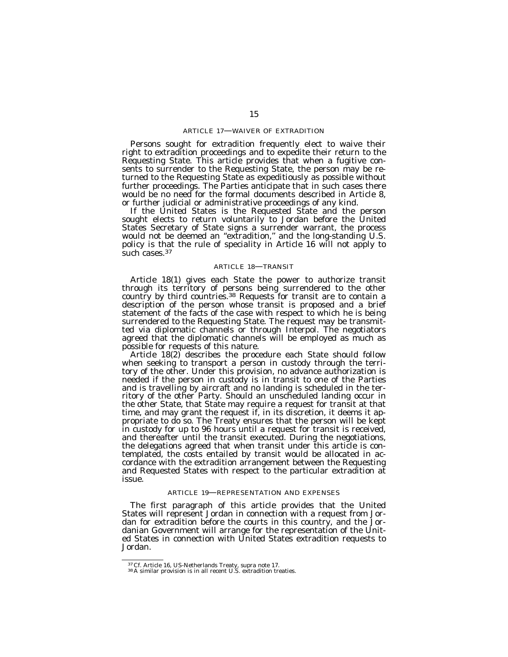#### ARTICLE 17—WAIVER OF EXTRADITION

Persons sought for extradition frequently elect to waive their right to extradition proceedings and to expedite their return to the Requesting State. This article provides that when a fugitive consents to surrender to the Requesting State, the person may be returned to the Requesting State as expeditiously as possible without further proceedings. The Parties anticipate that in such cases there would be no need for the formal documents described in Article 8, or further judicial or administrative proceedings of any kind.

If the United States is the Requested State and the person sought elects to return voluntarily to Jordan before the United States Secretary of State signs a surrender warrant, the process would not be deemed an ''extradition,'' and the long-standing U.S. policy is that the rule of speciality in Article 16 will not apply to such cases.<sup>37</sup>

#### ARTICLE 18—TRANSIT

Article 18(1) gives each State the power to authorize transit through its territory of persons being surrendered to the other country by third countries.<sup>38</sup> Requests for transit are to contain a description of the person whose transit is proposed and a brief statement of the facts of the case with respect to which he is being surrendered to the Requesting State. The request may be transmitted via diplomatic channels or through Interpol. The negotiators agreed that the diplomatic channels will be employed as much as possible for requests of this nature.

Article 18(2) describes the procedure each State should follow when seeking to transport a person in custody through the territory of the other. Under this provision, no advance authorization is needed if the person in custody is in transit to one of the Parties and is travelling by aircraft and no landing is scheduled in the territory of the other Party. Should an unscheduled landing occur in the other State, that State may require a request for transit at that time, and may grant the request if, in its discretion, it deems it appropriate to do so. The Treaty ensures that the person will be kept in custody for up to 96 hours until a request for transit is received, and thereafter until the transit executed. During the negotiations, the delegations agreed that when transit under this article is contemplated, the costs entailed by transit would be allocated in accordance with the extradition arrangement between the Requesting and Requested States with respect to the particular extradition at issue.

## ARTICLE 19—REPRESENTATION AND EXPENSES

The first paragraph of this article provides that the United States will represent Jordan in connection with a request from Jordan for extradition before the courts in this country, and the Jordanian Government will arrange for the representation of the United States in connection with United States extradition requests to Jordan.

<sup>37</sup> *Cf.* Article 16, US-Netherlands Treaty, *supra* note 17. <sup>38</sup> A similar provision is in all recent U.S. extradition treaties.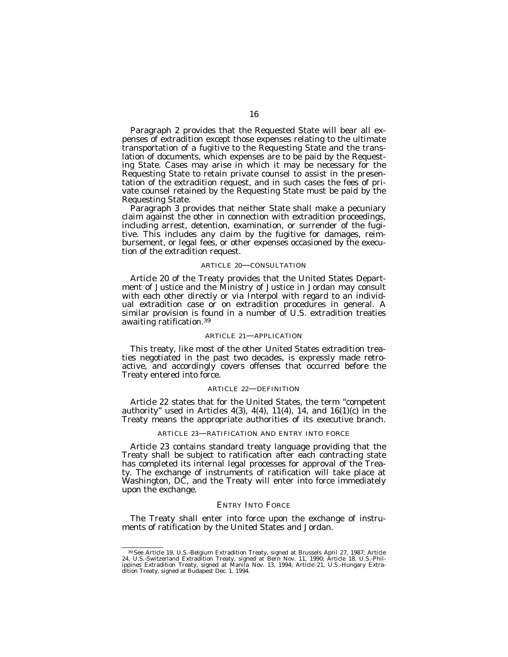Paragraph 2 provides that the Requested State will bear all expenses of extradition except those expenses relating to the ultimate transportation of a fugitive to the Requesting State and the translation of documents, which expenses are to be paid by the Requesting State. Cases may arise in which it may be necessary for the Requesting State to retain private counsel to assist in the presentation of the extradition request, and in such cases the fees of private counsel retained by the Requesting State must be paid by the Requesting State.

Paragraph 3 provides that neither State shall make a pecuniary claim against the other in connection with extradition proceedings, including arrest, detention, examination, or surrender of the fugitive. This includes any claim by the fugitive for damages, reimbursement, or legal fees, or other expenses occasioned by the execution of the extradition request.

## ARTICLE 20—CONSULTATION

Article 20 of the Treaty provides that the United States Department of Justice and the Ministry of Justice in Jordan may consult with each other directly or via Interpol with regard to an individual extradition case or on extradition procedures in general. A similar provision is found in a number of U.S. extradition treaties awaiting ratification.39

#### ARTICLE 21—APPLICATION

This treaty, like most of the other United States extradition treaties negotiated in the past two decades, is expressly made retroactive, and accordingly covers offenses that occurred before the Treaty entered into force.

## ARTICLE 22—DEFINITION

Article 22 states that for the United States, the term ''competent authority" used in Articles  $4(3)$ ,  $4(4)$ ,  $11(4)$ ,  $14$ , and  $16(1)(c)$  in the Treaty means the appropriate authorities of its executive branch.

## ARTICLE 23—RATIFICATION AND ENTRY INTO FORCE

Article 23 contains standard treaty language providing that the Treaty shall be subject to ratification after each contracting state has completed its internal legal processes for approval of the Treaty. The exchange of instruments of ratification will take place at Washington,  $D\breve{C}$ , and the Treaty will enter into force immediately upon the exchange.

## ENTRY INTO FORCE

The Treaty shall enter into force upon the exchange of instruments of ratification by the United States and Jordan.

<sup>&</sup>lt;sup>39</sup> See Article 19, U.S.-Belgium Extradition Treaty, signed at Brussels April 27, 1987; Article<br>24, U.S.-Switzerland Extradition Treaty, signed at Bern Nov. 11, 1990; Article 18, U.S.-Phil-<br>ippines Extradition Treaty, sig dition Treaty, signed at Budapest Dec. 1, 1994.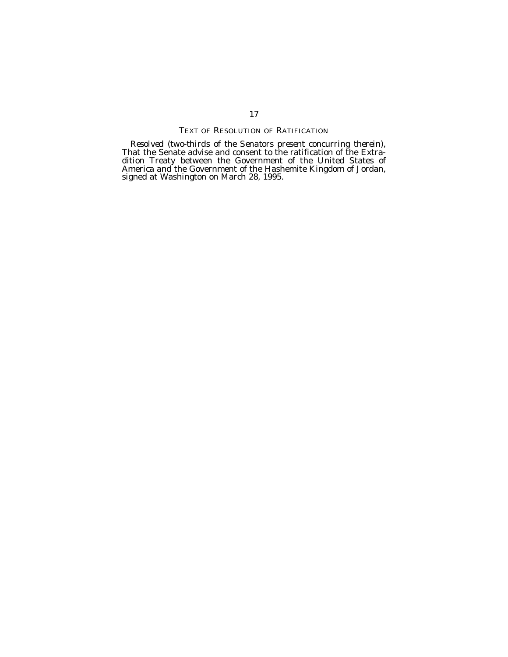## TEXT OF RESOLUTION OF RATIFICATION

*Resolved (two-thirds of the Senators present concurring therein),* That the Senate advise and consent to the ratification of the Extradition Treaty between the Government of the United States of America and the Government of the Hashemite Kingdom of Jordan, signed at Washington on March 28, 1995.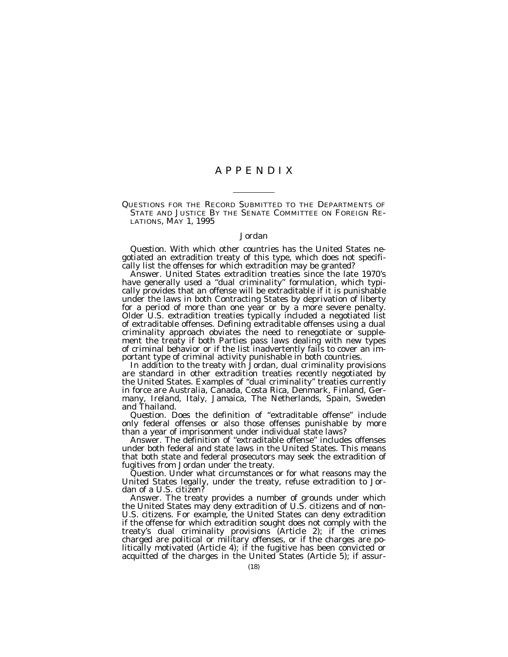# A P P E N D I X

QUESTIONS FOR THE RECORD SUBMITTED TO THE DEPARTMENTS OF STATE AND JUSTICE BY THE SENATE COMMITTEE ON FOREIGN RE- LATIONS, MAY 1, 1995

## *Jordan*

*Question.* With which other countries has the United States negotiated an extradition treaty of this type, which does not specifically list the offenses for which extradition may be granted?

Answer. United States extradition treaties since the late 1970's have generally used a ''dual criminality'' formulation, which typically provides that an offense will be extraditable if it is punishable under the laws in both Contracting States by deprivation of liberty for a period of more than one year or by a more severe penalty. Older U.S. extradition treaties typically included a negotiated list of extraditable offenses. Defining extraditable offenses using a dual criminality approach obviates the need to renegotiate or supplement the treaty if both Parties pass laws dealing with new types of criminal behavior or if the list inadvertently fails to cover an important type of criminal activity punishable in both countries.

In addition to the treaty with Jordan, dual criminality provisions are standard in other extradition treaties recently negotiated by the United States. Examples of ''dual criminality'' treaties currently in force are Australia, Canada, Costa Rica, Denmark, Finland, Germany, Ireland, Italy, Jamaica, The Netherlands, Spain, Sweden and Thailand.

*Question.* Does the definition of ''extraditable offense'' include only federal offenses or also those offenses punishable by more than a year of imprisonment under individual state laws?

Answer. The definition of ''extraditable offense'' includes offenses under both federal and state laws in the United States. This means that both state and federal prosecutors may seek the extradition of fugitives from Jordan under the treaty.

*Question.* Under what circumstances or for what reasons may the United States legally, under the treaty, refuse extradition to Jordan of a U.S. citizen?

Answer. The treaty provides a number of grounds under which the United States may deny extradition of U.S. citizens and of non-U.S. citizens. For example, the United States can deny extradition if the offense for which extradition sought does not comply with the treaty's dual criminality provisions (Article 2); if the crimes charged are political or military offenses, or if the charges are politically motivated (Article 4); if the fugitive has been convicted or acquitted of the charges in the United States (Article 5); if assur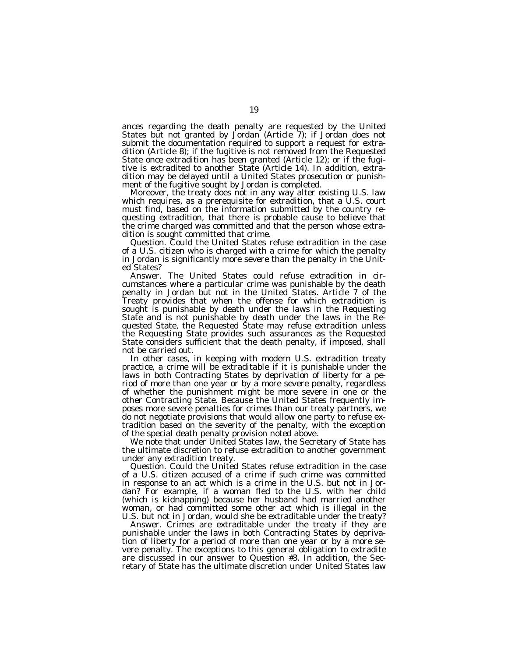ances regarding the death penalty are requested by the United States but not granted by Jordan (Article 7); if Jordan does not submit the documentation required to support a request for extradition (Article 8); if the fugitive is not removed from the Requested State once extradition has been granted (Article 12); or if the fugitive is extradited to another State (Article 14). In addition, extradition may be delayed until a United States prosecution or punishment of the fugitive sought by Jordan is completed.

Moreover, the treaty does not in any way alter existing U.S. law which requires, as a prerequisite for extradition, that a U.S. court must find, based on the information submitted by the country requesting extradition, that there is probable cause to believe that the crime charged was committed and that the person whose extradition is sought committed that crime.

*Question.* Could the United States refuse extradition in the case of a U.S. citizen who is charged with a crime for which the penalty in Jordan is significantly more severe than the penalty in the United States?

Answer. The United States could refuse extradition in circumstances where a particular crime was punishable by the death penalty in Jordan but not in the United States. Article 7 of the Treaty provides that when the offense for which extradition is sought is punishable by death under the laws in the Requesting State and is not punishable by death under the laws in the Requested State, the Requested State may refuse extradition unless the Requesting State provides such assurances as the Requested State considers sufficient that the death penalty, if imposed, shall not be carried out.

In other cases, in keeping with modern U.S. extradition treaty practice, a crime will be extraditable if it is punishable under the laws in both Contracting States by deprivation of liberty for a period of more than one year or by a more severe penalty, regardless of whether the punishment might be more severe in one or the other Contracting State. Because the United States frequently imposes more severe penalties for crimes than our treaty partners, we do not negotiate provisions that would allow one party to refuse extradition based on the severity of the penalty, with the exception of the special death penalty provision noted above.

We note that under United States law, the Secretary of State has the ultimate discretion to refuse extradition to another government under any extradition treaty.

*Question.* Could the United States refuse extradition in the case of a U.S. citizen accused of a crime if such crime was committed in response to an act which is a crime in the U.S. but not in Jordan? For example, if a woman fled to the U.S. with her child (which is kidnapping) because her husband had married another woman, or had committed some other act which is illegal in the U.S. but not in Jordan, would she be extraditable under the treaty?

Answer. Crimes are extraditable under the treaty if they are punishable under the laws in both Contracting States by deprivation of liberty for a period of more than one year or by a more severe penalty. The exceptions to this general obligation to extradite are discussed in our answer to Question #3. In addition, the Secretary of State has the ultimate discretion under United States law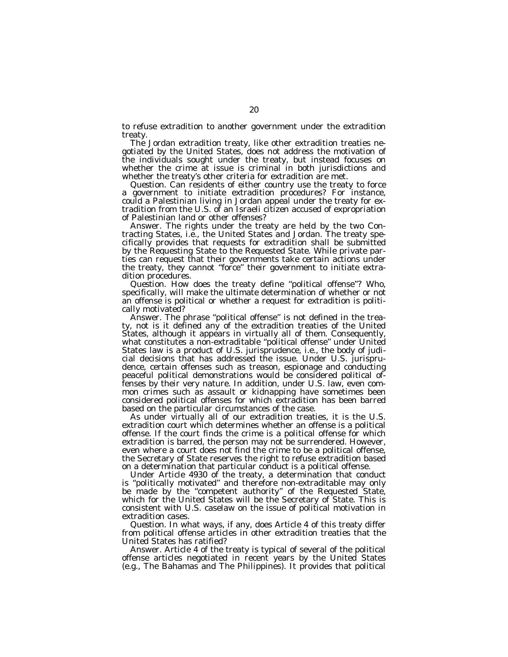to refuse extradition to another government under the extradition treaty.

The Jordan extradition treaty, like other extradition treaties negotiated by the United States, does not address the motivation of the individuals sought under the treaty, but instead focuses on whether the crime at issue is criminal in both jurisdictions and whether the treaty's other criteria for extradition are met.

*Question.* Can residents of either country use the treaty to force a government to initiate extradition procedures? For instance, could a Palestinian living in Jordan appeal under the treaty for extradition from the U.S. of an Israeli citizen accused of expropriation of Palestinian land or other offenses?

Answer. The rights under the treaty are held by the two Contracting States, i.e., the United States and Jordan. The treaty specifically provides that requests for extradition shall be submitted by the Requesting State to the Requested State. While private parties can request that their governments take certain actions under the treaty, they cannot ''force'' their government to initiate extradition procedures.

*Question.* How does the treaty define ''political offense''? Who, specifically, will make the ultimate determination of whether or not an offense is political or whether a request for extradition is politically motivated?

Answer. The phrase ''political offense'' is not defined in the treaty, not is it defined any of the extradition treaties of the United States, although it appears in virtually all of them. Consequently, what constitutes a non-extraditable ''political offense'' under United States law is a product of U.S. jurisprudence, i.e., the body of judicial decisions that has addressed the issue. Under U.S. jurisprudence, certain offenses such as treason, espionage and conducting peaceful political demonstrations would be considered political offenses by their very nature. In addition, under U.S. law, even common crimes such as assault or kidnapping have sometimes been considered political offenses for which extradition has been barred based on the particular circumstances of the case.

As under virtually all of our extradition treaties, it is the U.S. extradition court which determines whether an offense is a political offense. If the court finds the crime is a political offense for which extradition is barred, the person may not be surrendered. However, even where a court does not find the crime to be a political offense, the Secretary of State reserves the right to refuse extradition based on a determination that particular conduct is a political offense.

Under Article 4930 of the treaty, a determination that conduct is ''politically motivated'' and therefore non-extraditable may only be made by the ''competent authority'' of the Requested State, which for the United States will be the Secretary of State. This is consistent with U.S. caselaw on the issue of political motivation in extradition cases.

*Question.* In what ways, if any, does Article 4 of this treaty differ from political offense articles in other extradition treaties that the United States has ratified?

Answer. Article 4 of the treaty is typical of several of the political offense articles negotiated in recent years by the United States (e.g., The Bahamas and The Philippines). It provides that political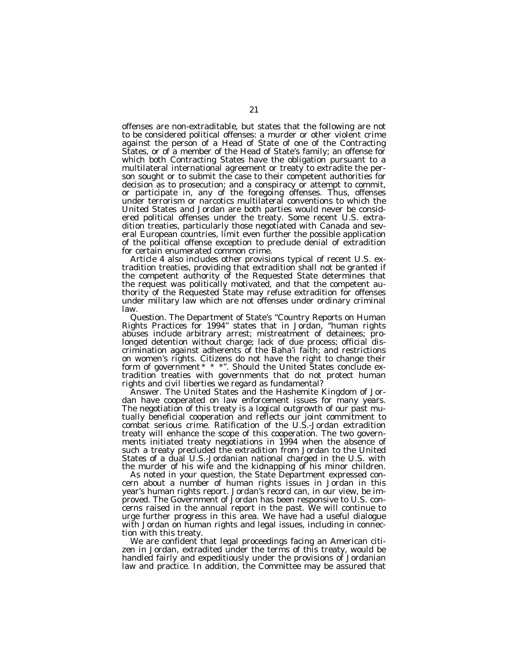offenses are non-extraditable, but states that the following are not to be considered political offenses: a murder or other violent crime against the person of a Head of State of one of the Contracting States, or of a member of the Head of State's family; an offense for which both Contracting States have the obligation pursuant to a multilateral international agreement or treaty to extradite the person sought or to submit the case to their competent authorities for decision as to prosecution; and a conspiracy or attempt to commit, or participate in, any of the foregoing offenses. Thus, offenses under terrorism or narcotics multilateral conventions to which the United States and Jordan are both parties would never be considered political offenses under the treaty. Some recent U.S. extradition treaties, particularly those negotiated with Canada and several European countries, limit even further the possible application of the political offense exception to preclude denial of extradition for certain enumerated common crime.

Article 4 also includes other provisions typical of recent U.S. extradition treaties, providing that extradition shall not be granted if the competent authority of the Requested State determines that the request was politically motivated, and that the competent authority of the Requested State may refuse extradition for offenses under military law which are not offenses under ordinary criminal law.

*Question.* The Department of State's ''Country Reports on Human Rights Practices for 1994'' states that in Jordan, ''human rights abuses include arbitrary arrest; mistreatment of detainees; prolonged detention without charge; lack of due process; official discrimination against adherents of the Baha'i faith; and restrictions on women's rights. Citizens do not have the right to change their form of government \* \* \*''. Should the United States conclude extradition treaties with governments that do not protect human rights and civil liberties we regard as fundamental?

Answer. The United States and the Hashemite Kingdom of Jordan have cooperated on law enforcement issues for many years. The negotiation of this treaty is a logical outgrowth of our past mutually beneficial cooperation and reflects our joint commitment to combat serious crime. Ratification of the U.S.-Jordan extradition treaty will enhance the scope of this cooperation. The two governments initiated treaty negotiations in 1994 when the absence of such a treaty precluded the extradition from Jordan to the United States of a dual U.S.-Jordanian national charged in the U.S. with the murder of his wife and the kidnapping of his minor children.

As noted in your question, the State Department expressed concern about a number of human rights issues in Jordan in this year's human rights report. Jordan's record can, in our view, be improved. The Government of Jordan has been responsive to U.S. concerns raised in the annual report in the past. We will continue to urge further progress in this area. We have had a useful dialogue with Jordan on human rights and legal issues, including in connection with this treaty.

We are confident that legal proceedings facing an American citizen in Jordan, extradited under the terms of this treaty, would be handled fairly and expeditiously under the provisions of Jordanian law and practice. In addition, the Committee may be assured that